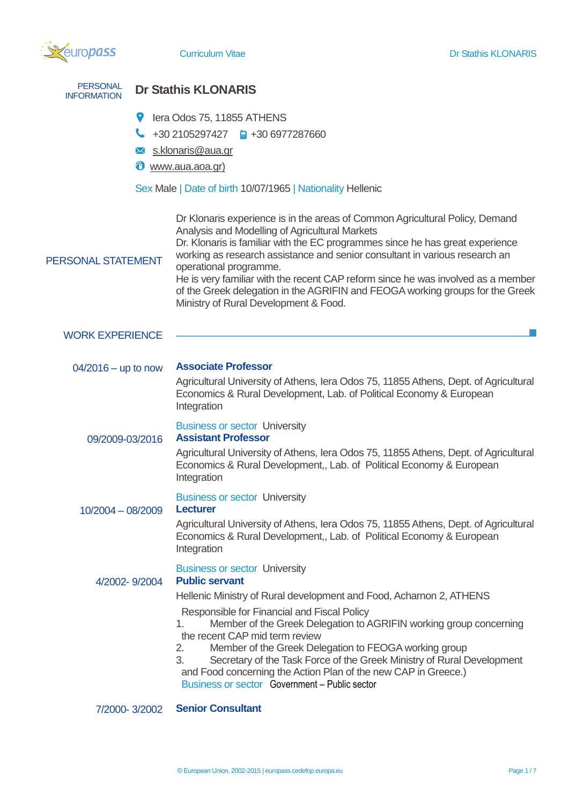

| <b>PERSONAL</b><br><b>INFORMATION</b> | <b>Dr Stathis KLONARIS</b>                                                                                                                                                                                                                                                                                                                                                                                                                                                                                                                                          |  |  |
|---------------------------------------|---------------------------------------------------------------------------------------------------------------------------------------------------------------------------------------------------------------------------------------------------------------------------------------------------------------------------------------------------------------------------------------------------------------------------------------------------------------------------------------------------------------------------------------------------------------------|--|--|
| 9<br>╰<br>$\times$<br>⊕               | lera Odos 75, 11855 ATHENS<br>+30 2105297427 $\qquad \qquad \blacksquare$ +30 6977287660<br>s.klonaris@aua.gr<br>www.aua.aoa.gr)<br>Sex Male   Date of birth 10/07/1965   Nationality Hellenic                                                                                                                                                                                                                                                                                                                                                                      |  |  |
| PERSONAL STATEMENT                    | Dr Klonaris experience is in the areas of Common Agricultural Policy, Demand<br>Analysis and Modelling of Agricultural Markets<br>Dr. Klonaris is familiar with the EC programmes since he has great experience<br>working as research assistance and senior consultant in various research an<br>operational programme.<br>He is very familiar with the recent CAP reform since he was involved as a member<br>of the Greek delegation in the AGRIFIN and FEOGA working groups for the Greek<br>Ministry of Rural Development & Food.                              |  |  |
| <b>WORK EXPERIENCE</b>                |                                                                                                                                                                                                                                                                                                                                                                                                                                                                                                                                                                     |  |  |
| $04/2016 -$ up to now                 | <b>Associate Professor</b><br>Agricultural University of Athens, Iera Odos 75, 11855 Athens, Dept. of Agricultural<br>Economics & Rural Development, Lab. of Political Economy & European<br>Integration                                                                                                                                                                                                                                                                                                                                                            |  |  |
| 09/2009-03/2016                       | <b>Business or sector University</b><br><b>Assistant Professor</b><br>Agricultural University of Athens, Iera Odos 75, 11855 Athens, Dept. of Agricultural<br>Economics & Rural Development,, Lab. of Political Economy & European<br>Integration                                                                                                                                                                                                                                                                                                                   |  |  |
| $10/2004 - 08/2009$                   | <b>Business or sector University</b><br><b>Lecturer</b><br>Agricultural University of Athens, Iera Odos 75, 11855 Athens, Dept. of Agricultural<br>Economics & Rural Development,, Lab. of Political Economy & European<br>Integration                                                                                                                                                                                                                                                                                                                              |  |  |
| 4/2002-9/2004                         | <b>Business or sector University</b><br><b>Public servant</b><br>Hellenic Ministry of Rural development and Food, Acharnon 2, ATHENS<br>Responsible for Financial and Fiscal Policy<br>Member of the Greek Delegation to AGRIFIN working group concerning<br>1.<br>the recent CAP mid term review<br>2.<br>Member of the Greek Delegation to FEOGA working group<br>3.<br>Secretary of the Task Force of the Greek Ministry of Rural Development<br>and Food concerning the Action Plan of the new CAP in Greece.)<br>Business or sector Government - Public sector |  |  |
| 7/2000-3/2002                         | <b>Senior Consultant</b>                                                                                                                                                                                                                                                                                                                                                                                                                                                                                                                                            |  |  |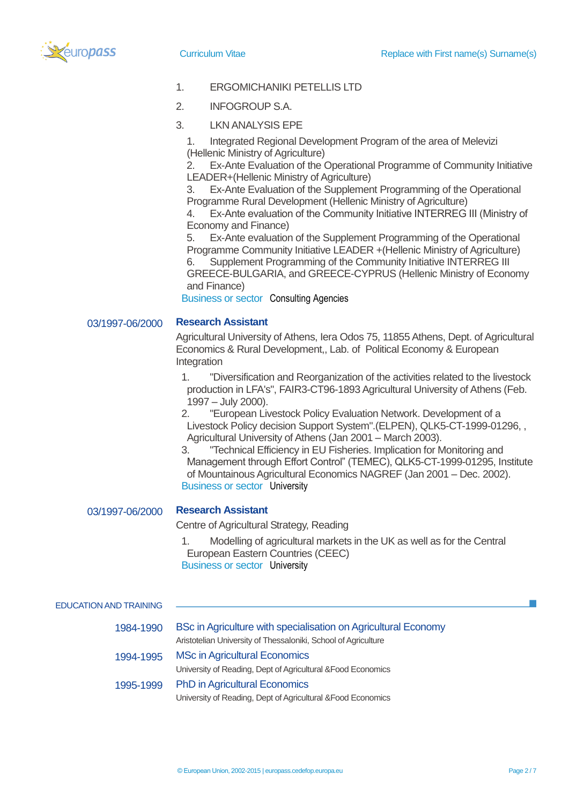

- 1. ERGOMICHANIKI PETELLIS LTD
- 2. INFOGROUP S.A.
- 3. LKN ANALYSIS EPE
	- 1. Integrated Regional Development Program of the area of Melevizi (Hellenic Ministry of Agriculture)

2. Ex-Ante Evaluation of the Operational Programme of Community Initiative LEADER+(Hellenic Ministry of Agriculture)

3. Ex-Ante Evaluation of the Supplement Programming of the Operational Programme Rural Development (Hellenic Ministry of Agriculture)

4. Ex-Ante evaluation of the Community Initiative INTERREG III (Ministry of Economy and Finance)

5. Ex-Ante evaluation of the Supplement Programming of the Operational Programme Community Initiative LEADER +(Hellenic Ministry of Agriculture)

6. Supplement Programming of the Community Initiative INTERREG III GREECE-BULGARIA, and GREECE-CYPRUS (Hellenic Ministry of Economy and Finance)

Business or sector Consulting Agencies

## 03/1997-06/2000 **Research Assistant**

Agricultural University of Athens, Iera Odos 75, 11855 Athens, Dept. of Agricultural Economics & Rural Development,, Lab. of Political Economy & European **Integration** 

1. "Diversification and Reorganization of the activities related to the livestock production in LFA's", FAIR3-CT96-1893 Agricultural University of Athens (Feb. 1997 – July 2000).

2. "European Livestock Policy Evaluation Network. Development of a Livestock Policy decision Support System".(ELPEN), QLK5-CT-1999-01296, , Agricultural University of Athens (Jan 2001 – March 2003).

3. "Technical Efficiency in EU Fisheries. Implication for Monitoring and Management through Effort Control" (TEMEC), QLK5-CT-1999-01295, Institute of Mountainous Agricultural Economics NAGREF (Jan 2001 – Dec. 2002). Business or sector University

## 03/1997-06/2000 **Research Assistant**

Centre of Agricultural Strategy, Reading

1. Modelling of agricultural markets in the UK as well as for the Central European Eastern Countries (CEEC) Business or sector University

| <b>EDUCATION AND TRAINING</b> |                                                                                                                                  |
|-------------------------------|----------------------------------------------------------------------------------------------------------------------------------|
| 1984-1990                     | BSc in Agriculture with specialisation on Agricultural Economy<br>Aristotelian University of Thessaloniki, School of Agriculture |
| 1994-1995                     | <b>MSc in Agricultural Economics</b><br>University of Reading, Dept of Agricultural & Food Economics                             |
| 1995-1999                     | <b>PhD in Agricultural Economics</b><br>University of Reading, Dept of Agricultural & Food Economics                             |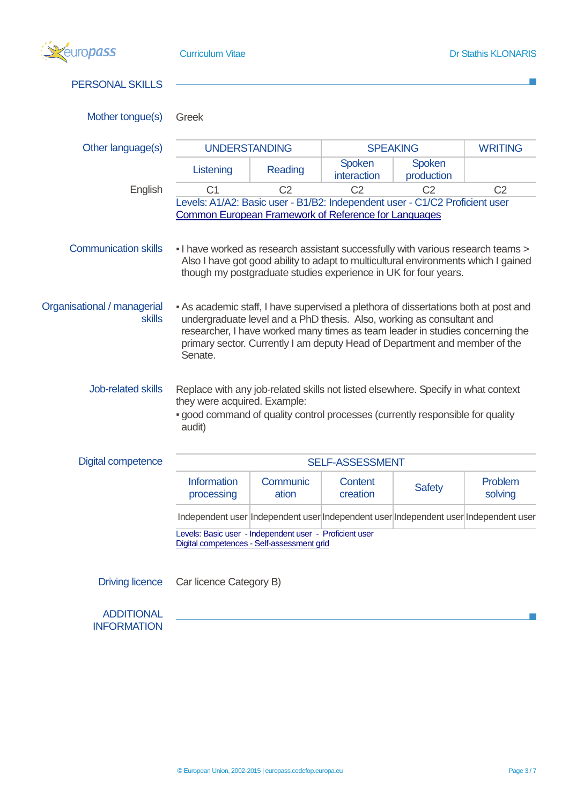| europass                                     | <b>Curriculum Vitae</b><br><b>Dr Stathis KLONARIS</b>                                                                                                                                                                                                                                                                                  |                                                                                                                                                       |                            |                      |                                                                                      |  |
|----------------------------------------------|----------------------------------------------------------------------------------------------------------------------------------------------------------------------------------------------------------------------------------------------------------------------------------------------------------------------------------------|-------------------------------------------------------------------------------------------------------------------------------------------------------|----------------------------|----------------------|--------------------------------------------------------------------------------------|--|
| <b>PERSONAL SKILLS</b>                       |                                                                                                                                                                                                                                                                                                                                        |                                                                                                                                                       |                            |                      |                                                                                      |  |
| Mother tongue(s)                             | Greek                                                                                                                                                                                                                                                                                                                                  |                                                                                                                                                       |                            |                      |                                                                                      |  |
| Other language(s)                            | <b>UNDERSTANDING</b><br><b>SPEAKING</b>                                                                                                                                                                                                                                                                                                |                                                                                                                                                       | <b>WRITING</b>             |                      |                                                                                      |  |
|                                              | Listening                                                                                                                                                                                                                                                                                                                              | Reading                                                                                                                                               | Spoken<br>interaction      | Spoken<br>production |                                                                                      |  |
| English                                      | C <sub>1</sub>                                                                                                                                                                                                                                                                                                                         | C <sub>2</sub>                                                                                                                                        | C <sub>2</sub>             | C <sub>2</sub>       | C <sub>2</sub>                                                                       |  |
|                                              | Levels: A1/A2: Basic user - B1/B2: Independent user - C1/C2 Proficient user<br>Common European Framework of Reference for Languages                                                                                                                                                                                                    |                                                                                                                                                       |                            |                      |                                                                                      |  |
| <b>Communication skills</b>                  | - I have worked as research assistant successfully with various research teams >                                                                                                                                                                                                                                                       | Also I have got good ability to adapt to multicultural environments which I gained<br>though my postgraduate studies experience in UK for four years. |                            |                      |                                                                                      |  |
| Organisational / managerial<br><b>skills</b> | - As academic staff, I have supervised a plethora of dissertations both at post and<br>undergraduate level and a PhD thesis. Also, working as consultant and<br>researcher, I have worked many times as team leader in studies concerning the<br>primary sector. Currently I am deputy Head of Department and member of the<br>Senate. |                                                                                                                                                       |                            |                      |                                                                                      |  |
| Job-related skills                           | Replace with any job-related skills not listed elsewhere. Specify in what context<br>they were acquired. Example:<br>- good command of quality control processes (currently responsible for quality<br>audit)                                                                                                                          |                                                                                                                                                       |                            |                      |                                                                                      |  |
| <b>Digital competence</b>                    | <b>SELF-ASSESSMENT</b>                                                                                                                                                                                                                                                                                                                 |                                                                                                                                                       |                            |                      |                                                                                      |  |
|                                              | <b>Information</b><br>processing                                                                                                                                                                                                                                                                                                       | Communic<br>ation                                                                                                                                     | <b>Content</b><br>creation | <b>Safety</b>        | Problem<br>solving                                                                   |  |
|                                              |                                                                                                                                                                                                                                                                                                                                        |                                                                                                                                                       |                            |                      | Independent user Independent user Independent user Independent user Independent user |  |
|                                              | Levels: Basic user - Independent user - Proficient user<br>Digital competences - Self-assessment grid                                                                                                                                                                                                                                  |                                                                                                                                                       |                            |                      |                                                                                      |  |
| <b>Driving licence</b>                       | Car licence Category B)                                                                                                                                                                                                                                                                                                                |                                                                                                                                                       |                            |                      |                                                                                      |  |
| <b>ADDITIONAL</b><br><b>INFORMATION</b>      |                                                                                                                                                                                                                                                                                                                                        |                                                                                                                                                       |                            |                      |                                                                                      |  |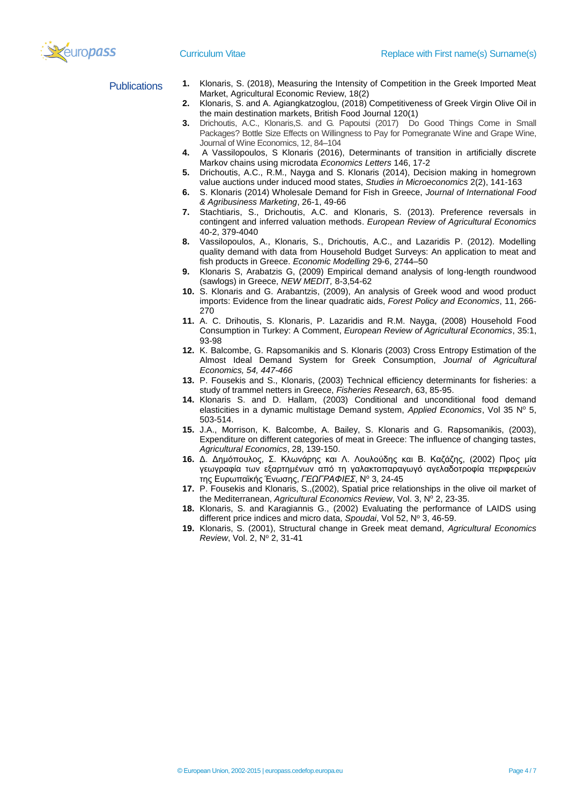- Publications **1.** Klonaris, S. (2018), Measuring the Intensity of Competition in the Greek Imported Meat Market, Agricultural Economic Review, 18(2)
	- **2.** Klonaris, S. and A. Agiangkatzoglou, (2018) Competitiveness of Greek Virgin Olive Oil in the main destination markets, British Food Journal 120(1)
	- **3.** Drichoutis, A.C., Klonaris,S. and G. Papoutsi (2017) Do Good Things Come in Small Packages? Bottle Size Effects on Willingness to Pay for Pomegranate Wine and Grape Wine, Journal of Wine Economics, 12, 84–104
	- **4.** A Vassilopoulos, S Klonaris (2016), Determinants of transition in artificially discrete Markov chains using microdata *Economics Letters* 146, 17-2
	- **5.** Drichoutis, A.C., R.M., Nayga and S. Klonaris (2014), Decision making in homegrown value auctions under induced mood states, *Studies in Microeconomics* 2(2), 141-163
	- **6.** S. Klonaris (2014) Wholesale Demand for Fish in Greece, *Journal of International Food & Agribusiness Marketing*, 26-1, 49-66
	- **7.** Stachtiaris, S., Drichoutis, A.C. and Klonaris, S. (2013). Preference reversals in contingent and inferred valuation methods. *European Review of Agricultural Economics* 40-2, 379-4040
	- **8.** Vassilopoulos, A., Klonaris, S., Drichoutis, A.C., and Lazaridis P. (2012). Modelling quality demand with data from Household Budget Surveys: An application to meat and fish products in Greece. *Economic Modelling* 29-6, 2744–50
	- **9.** Klonaris S, Arabatzis G, (2009) Empirical demand analysis of long-length roundwood (sawlogs) in Greece, *NEW MEDIT,* 8-3,54-62
	- **10.** S. Klonaris and G. Arabantzis, (2009), An analysis of Greek wood and wood product imports: Evidence from the linear quadratic aids, *Forest Policy and Economics*, 11, 266- 270
	- **11.** A. C. Drihoutis, S. Klonaris, P. Lazaridis and R.M. Nayga, (2008) Household Food Consumption in Turkey: A Comment, *European Review of Agricultural Economics*, 35:1, 93-98
	- **12.** K. Balcombe, G. Rapsomanikis and S. Klonaris (2003) Cross Entropy Estimation of the Almost Ideal Demand System for Greek Consumption, *Journal of Agricultural Economics, 54, 447-466*
	- **13.** P. Fousekis and S., Klonaris, (2003) Technical efficiency determinants for fisheries: a study of trammel netters in Greece, *Fisheries Research*, 63, 85-95.
	- **14.** Klonaris S. and D. Hallam, (2003) Conditional and unconditional food demand elasticities in a dynamic multistage Demand system, Applied Economics, Vol 35 N° 5, 503-514.
	- **15.** J.A., Morrison, K. Balcombe, A. Bailey, S. Klonaris and G. Rapsomanikis, (2003), Expenditure on different categories of meat in Greece: The influence of changing tastes, *Agricultural Economics*, 28, 139-150.
	- **16.** Δ. Δημόπουλος, Σ. Κλωνάρης και Λ. Λουλούδης και Β. Καζάζης, (2002) Προς μία γεωγραφία των εξαρτημένων από τη γαλακτοπαραγωγό αγελαδοτροφία περιφερειών της Ευρωπαϊκής Ένωσης, *ΓΕΩΓΡΑΦΙΕΣ*, Ν<sup>ο</sup> 3, 24-45
	- **17.** P. Fousekis and Klonaris, S.,(2002), Spatial price relationships in the olive oil market of the Mediterranean, *Agricultural Economics Review*, Vol. 3, Nº 2, 23-35.
	- **18.** Klonaris, S. and Karagiannis G., (2002) Evaluating the performance of LAIDS using different price indices and micro data, *Spoudai*, Vol 52, Nº 3, 46-59.
	- **19.** Klonaris, S. (2001), Structural change in Greek meat demand, *Agricultural Economics Review, Vol. 2, Nº 2, 31-41*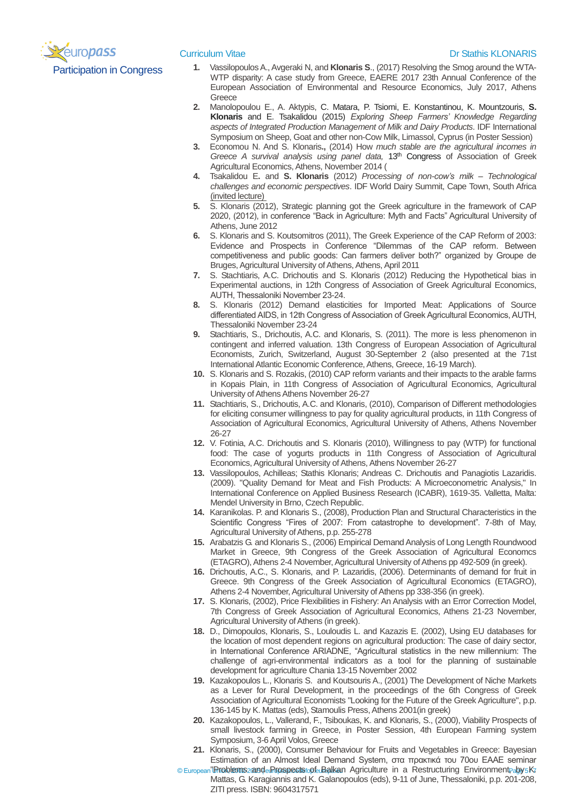

## **Curriculum Vitae Curriculum Vitae Dr Stathis KLONARIS**

- Participation in Congress **1.** Vassilopoulos A., Avgeraki N, and **Klonaris S**., (2017) Resolving the Smog around the WTA-WTP disparity: A case study from Greece, EAERE 2017 23th Annual Conference of the European Association of Environmental and Resource Economics, July 2017, Athens **Greece** 
	- **2.** Manolopoulou E., A. Aktypis, C. Matara, P. Tsiomi, E. Konstantinou, K. Mountzouris, **S. Klonaris** and E. Tsakalidou (2015) *Exploring Sheep Farmers' Knowledge Regarding aspects of Integrated Production Management of Milk and Dairy Products*. IDF International Symposium on Sheep, Goat and other non-Cow Milk, Limassol, Cyprus (in Poster Session)
	- **3.** Economou N. And S. Klonaris**.,** (2014) How *much stable are the agricultural incomes in Greece A survival analysis using panel data,* 13th Congress of Association of Greek Agricultural Economics, Athens, November 2014 (
	- **4.** Tsakalidou E**.** and **S. Klonaris** (2012) *Processing of non-cow's milk – Technological challenges and economic perspectives*. IDF World Dairy Summit, Cape Town, South Africa (invited lecture)
	- **5.** S. Klonaris (2012), Strategic planning got the Greek agriculture in the framework of CAP 2020, (2012), in conference "Back in Agriculture: Myth and Facts" Agricultural University of Athens, June 2012
	- **6.** S. Klonaris and S. Koutsomitros (2011), The Greek Experience of the CAP Reform of 2003: Evidence and Prospects in Conference "Dilemmas of the CAP reform. Between competitiveness and public goods: Can farmers deliver both?" organized by Groupe de Bruges, Agricultural University of Athens, Athens, April 2011
	- **7.** S. Stachtiaris, A.C. Drichoutis and S. Klonaris (2012) Reducing the Hypothetical bias in Experimental auctions, in 12th Congress of Association of Greek Agricultural Economics, ΑUTH, Thessaloniki November 23-24.
	- **8.** S. Klonaris (2012) Demand elasticities for Imported Meat: Applications of Source differentiated AIDS, in 12th Congress of Association of Greek Agricultural Economics, ΑUTH, Thessaloniki November 23-24
	- **9.** Stachtiaris, S., Drichoutis, A.C. and Klonaris, S. (2011). The more is less phenomenon in contingent and inferred valuation. 13th Congress of European Association of Agricultural Economists, Zurich, Switzerland, August 30-September 2 (also presented at the 71st International Atlantic Economic Conference, Athens, Greece, 16-19 March).
	- **10.** S. Klonaris and S. Rozakis, (2010) CAP reform variants and their impacts to the arable farms in Kopais Plain, in 11th Congress of Association of Agricultural Economics, Agricultural University of Athens Athens November 26-27
	- **11.** Stachtiaris, S., Drichoutis, A.C. and Klonaris, (2010), Comparison of Different methodologies for eliciting consumer willingness to pay for quality agricultural products, in 11th Congress of Association of Agricultural Economics, Agricultural University of Athens, Athens November 26-27
	- **12.** V. Fotinia, A.C. Drichoutis and S. Klonaris (2010), Willingness to pay (WTP) for functional food: The case of yogurts products in 11th Congress of Association of Agricultural Economics, Agricultural University of Athens, Athens November 26-27
	- **13.** Vassilopoulos, Achilleas; Stathis Klonaris; Andreas C. Drichoutis and Panagiotis Lazaridis. (2009). "Quality Demand for Meat and Fish Products: A Microeconometric Analysis," In International Conference on Applied Business Research (ICABR), 1619-35. Valletta, Malta: Mendel University in Brno, Czech Republic.
	- **14.** Karanikolas. P. and Klonaris S., (2008), Production Plan and Structural Characteristics in the Scientific Congress "Fires of 2007: From catastrophe to development". 7-8th of May, Agricultural University of Athens, p.p. 255-278
	- **15.** Arabatzis G. and Klonaris S., (2006) Empirical Demand Analysis of Long Length Roundwood Market in Greece, 9th Congress of the Greek Association of Agricultural Economcs (ETAGRO), Athens 2-4 November, Agricultural University of Athens pp 492-509 (in greek).
	- **16.** Drichoutis, A.C., S. Klonaris, and P. Lazaridis, (2006). Determinants of demand for fruit in Greece. 9th Congress of the Greek Association of Agricultural Economics (ETAGRO), Athens 2-4 November, Agricultural University of Athens pp 338-356 (in greek).
	- **17.** S. Klonaris, (2002), Price Flexibilities in Fishery: An Analysis with an Error Correction Model, 7th Congress of Greek Association of Agricultural Economics, Athens 21-23 November, Agricultural University of Athens (in greek).
	- **18.** D., Dimopoulos, Klonaris, S., Louloudis L. and Kazazis E. (2002), Using EU databases for the location of most dependent regions on agricultural production: The case of dairy sector, in International Conference ARIADNE, "Agricultural statistics in the new millennium: The challenge of agri-environmental indicators as a tool for the planning of sustainable development for agriculture Chania 13-15 November 2002
	- **19.** Kazakopoulos L., Klonaris S. and Koutsouris A., (2001) The Development of Niche Markets as a Lever for Rural Development, in the proceedings of the 6th Congress of Greek Association of Agricultural Economists "Looking for the Future of the Greek Agriculture", p.p. 136-145 by K. Mattas (eds), Stamoulis Press, Athens 2001(in greek)
	- **20.** Kazakopoulos, L., Vallerand, F., Tsiboukas, K. and Klonaris, S., (2000), Viability Prospects of small livestock farming in Greece, in Poster Session, 4th European Farming system Symposium, 3-6 April Volos, Greece
	- **21.** Klonaris, S., (2000), Consumer Behaviour for Fruits and Vegetables in Greece: Bayesian Estimation of an Almost Ideal Demand System, στα πρακτικά του 70ου EAAE seminar
	- © European **"Brioblems** 2 and e Ripspects op fe Balkan Agriculture in a Restructuring Environment, <sub>a</sub>by 5 K. Mattas, G. Karagiannis and K. Galanopoulos (eds), 9-11 of June, Thessaloniki, p.p. 201-208, ZITI press. ISBN: 9604317571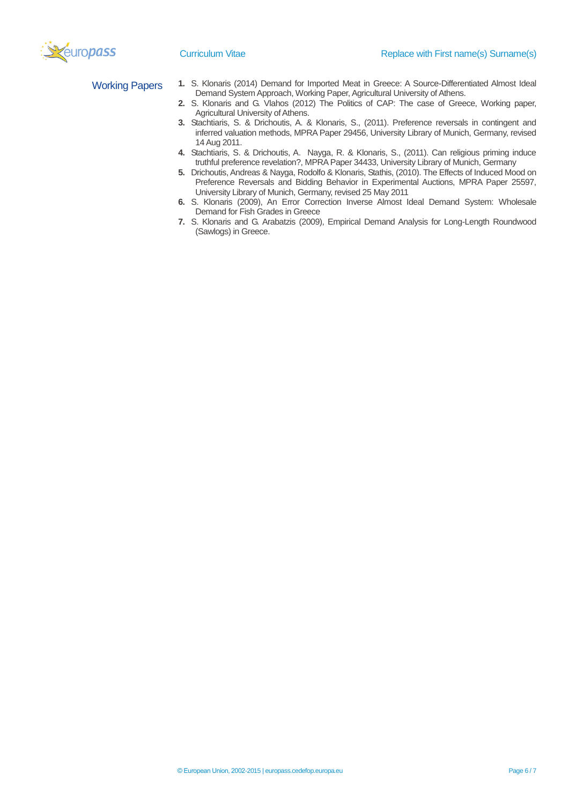

- Working Papers **1.** S. Klonaris (2014) Demand for Imported Meat in Greece: A Source-Differentiated Almost Ideal Demand System Approach, Working Paper, Agricultural University of Athens.
	- **2.** S. Klonaris and G. Vlahos (2012) The Politics of CAP: The case of Greece, Working paper, Agricultural University of Athens.
	- **3.** Stachtiaris, S. & Drichoutis, A. & Klonaris, S., (2011). Preference reversals in contingent and inferred valuation methods, MPRA Paper 29456, University Library of Munich, Germany, revised 14 Aug 2011.
	- **4.** Stachtiaris, S. & Drichoutis, A. Nayga, R. & Klonaris, S., (2011). Can religious priming induce truthful preference revelation?, MPRA Paper 34433, University Library of Munich, Germany
	- **5.** Drichoutis, Andreas & Nayga, Rodolfo & Klonaris, Stathis, (2010). The Effects of Induced Mood on Preference Reversals and Bidding Behavior in Experimental Auctions, MPRA Paper 25597, University Library of Munich, Germany, revised 25 May 2011
	- **6.** S. Klonaris (2009), An Error Correction Inverse Almost Ideal Demand System: Wholesale Demand for Fish Grades in Greece
	- **7.** S. Klonaris and G. Arabatzis (2009), Empirical Demand Analysis for Long-Length Roundwood (Sawlogs) in Greece.